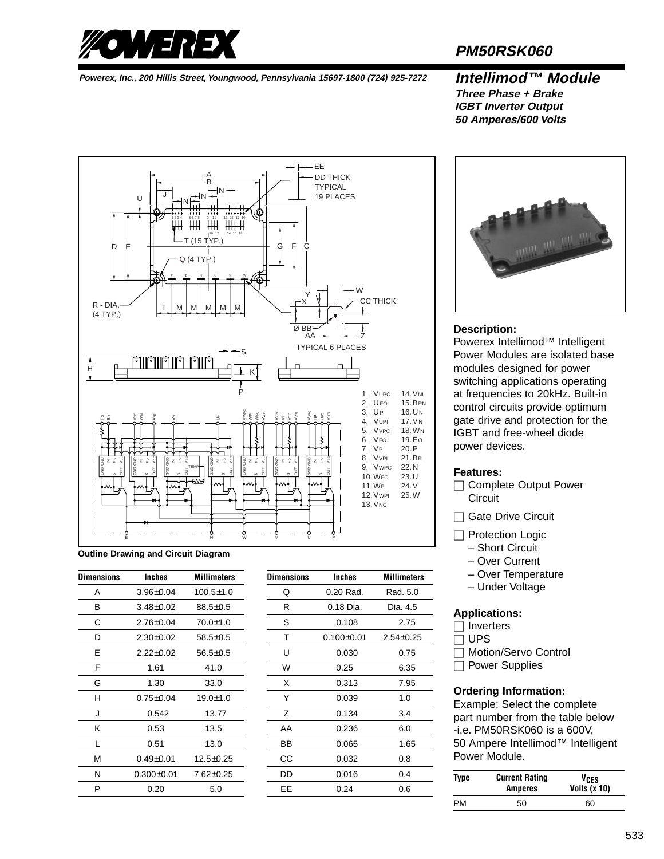

## **PM50RSK060**

**Powerex, Inc., 200 Hillis Street, Youngwood, Pennsylvania 15697-1800 (724) 925-7272 Intellimod™ Module**

### **Three Phase + Brake IGBT Inverter Output 50 Amperes/600 Volts**



**Outline Drawing and Circuit Diagram**

| <b>Dimensions</b> | <b>Inches</b>    | <b>Millimeters</b> |
|-------------------|------------------|--------------------|
| А                 | $3.96 \pm 0.04$  | $100.5 \pm 1.0$    |
| в                 | $3.48 \pm 0.02$  | $88.5 \pm 0.5$     |
| С                 | $2.76 \pm 0.04$  | $70.0 + 1.0$       |
| D                 | $2.30 \pm 0.02$  | $58.5 \pm 0.5$     |
| E                 | $2.22 + 0.02$    | $56.5 \pm 0.5$     |
| F                 | 1.61             | 41.0               |
| G                 | 1.30             | 33.0               |
| н                 | $0.75 \pm 0.04$  | $19.0 \pm 1.0$     |
| J                 | 0.542            | 13.77              |
| ĸ                 | 0.53             | 13.5               |
| L                 | 0.51             | 13.0               |
| М                 | $0.49 \pm 0.01$  | $12.5 \pm 0.25$    |
| N                 | $0.300 \pm 0.01$ | $7.62 + 0.25$      |
| P                 | 0.20             | 5.0                |

| Dimensions | Inches           | <b>Millimeters</b> |
|------------|------------------|--------------------|
| Q          | 0.20 Rad.        | Rad. 5.0           |
| R          | 0.18 Dia.        | Dia. 4.5           |
| S          | 0.108            | 2.75               |
| т          | $0.100 \pm 0.01$ | $2.54 \pm 0.25$    |
| U          | 0.030            | 0.75               |
| W          | 0.25             | 6.35               |
| X          | 0.313            | 7.95               |
| Y          | 0.039            | 1.0                |
| Z          | 0.134            | 3.4                |
| AA         | 0.236            | 6.0                |
| ВB         | 0.065            | 1.65               |
| CС         | 0.032            | 0.8                |
| DD         | 0.016            | 0.4                |
| EЕ         | 0.24             | 0.6                |



### **Description:**

Powerex Intellimod™ Intelligent Power Modules are isolated base modules designed for power switching applications operating at frequencies to 20kHz. Built-in control circuits provide optimum gate drive and protection for the IGBT and free-wheel diode power devices.

### **Features:**

- $\Box$  Complete Output Power **Circuit**
- □ Gate Drive Circuit
- □ Protection Logic
	- Short Circuit
	- Over Current
	- Over Temperature
	- Under Voltage

### **Applications:**

 $\Box$  Inverters

 $\Box$  UPS

□ Motion/Servo Control

 $\Box$  Power Supplies

### **Ordering Information:**

Example: Select the complete part number from the table below -i.e. PM50RSK060 is a 600V, 50 Ampere Intellimod™ Intelligent Power Module.

| Type | <b>Current Rating</b><br><b>Amperes</b> | VCES<br>Volts $(x 10)$ |  |  |
|------|-----------------------------------------|------------------------|--|--|
| PM   | 50                                      | 60                     |  |  |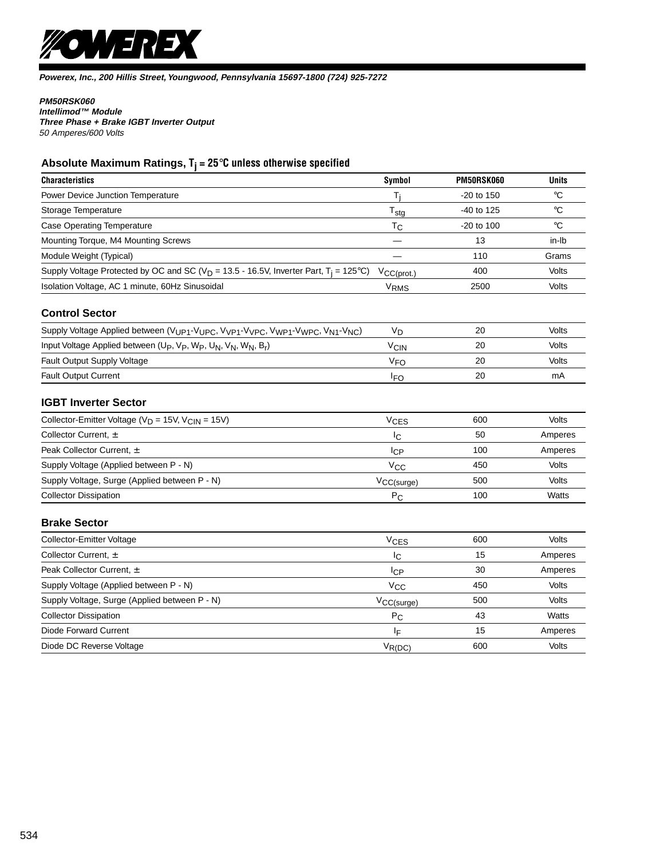

### **PM50RSK060**

**Intellimod™ Module Three Phase + Brake IGBT Inverter Output** 50 Amperes/600 Volts

### **Absolute Maximum Ratings, Tj = 25**°**C unless otherwise specified**

| <b>Characteristics</b>                                                                                                                                | Symbol                      | <b>PM50RSK060</b> | <b>Units</b>    |
|-------------------------------------------------------------------------------------------------------------------------------------------------------|-----------------------------|-------------------|-----------------|
| Power Device Junction Temperature                                                                                                                     | T <sub>i</sub>              | -20 to 150        | $\rm ^{\circ}C$ |
| Storage Temperature                                                                                                                                   | $\mathsf{T}_{\mathsf{std}}$ | -40 to 125        | °C              |
| <b>Case Operating Temperature</b>                                                                                                                     | $T_{\rm C}$                 | -20 to 100        | $\rm ^{\circ}C$ |
| Mounting Torque, M4 Mounting Screws                                                                                                                   |                             | 13                | in-Ib           |
| Module Weight (Typical)                                                                                                                               |                             | 110               | Grams           |
| Supply Voltage Protected by OC and SC ( $V_D$ = 13.5 - 16.5V, Inverter Part, T <sub>i</sub> = 125°C)                                                  | $V_{CC(prot.)}$             | 400               | Volts           |
| Isolation Voltage, AC 1 minute, 60Hz Sinusoidal                                                                                                       | V <sub>RMS</sub>            | 2500              | Volts           |
| <b>Control Sector</b>                                                                                                                                 |                             |                   |                 |
| Supply Voltage Applied between (VUP1-VUPC, VVP1-VVPC, VWP1-VWPC, VN1-VNC)                                                                             | V <sub>D</sub>              | 20                | Volts           |
| Input Voltage Applied between (U <sub>P</sub> , V <sub>P</sub> , W <sub>P</sub> , U <sub>N</sub> , V <sub>N</sub> , W <sub>N</sub> , B <sub>r</sub> ) | <b>V<sub>CIN</sub></b>      | 20                | Volts           |
| Fault Output Supply Voltage                                                                                                                           | <b>V<sub>FO</sub></b>       | 20                | Volts           |
| <b>Fault Output Current</b>                                                                                                                           | <sup>I</sup> FO             | 20                | mA              |
| <b>IGBT Inverter Sector</b>                                                                                                                           |                             |                   |                 |
| Collector-Emitter Voltage (V <sub>D</sub> = 15V, V <sub>CIN</sub> = 15V)                                                                              | VCES                        | 600               | Volts           |
| Collector Current, ±                                                                                                                                  | Iс                          | 50                | Amperes         |
| Peak Collector Current, ±                                                                                                                             | IсP                         | 100               | Amperes         |
| Supply Voltage (Applied between P - N)                                                                                                                | Vcc                         | 450               | <b>Volts</b>    |
| Supply Voltage, Surge (Applied between P - N)                                                                                                         | $V_{CC(surge)}$             | 500               | Volts           |
| <b>Collector Dissipation</b>                                                                                                                          | $P_{\rm C}$                 | 100               | Watts           |
| <b>Brake Sector</b>                                                                                                                                   |                             |                   |                 |
| Collector-Emitter Voltage                                                                                                                             | V <sub>CES</sub>            | 600               | <b>Volts</b>    |
| Collector Current, ±                                                                                                                                  | Iс                          | 15                | Amperes         |
| Peak Collector Current, ±                                                                                                                             | 1 <sub>CP</sub>             | 30                | Amperes         |
| Supply Voltage (Applied between P - N)                                                                                                                | $V_{CC}$                    | 450               | Volts           |
| Supply Voltage, Surge (Applied between P - N)                                                                                                         | $V_{CC(surge)}$             | 500               | <b>Volts</b>    |
| <b>Collector Dissipation</b>                                                                                                                          | $P_{\rm C}$                 | 43                | Watts           |
| <b>Diode Forward Current</b>                                                                                                                          | ΙF                          | 15                | Amperes         |
| Diode DC Reverse Voltage                                                                                                                              | $V_{R(DC)}$                 | 600               | Volts           |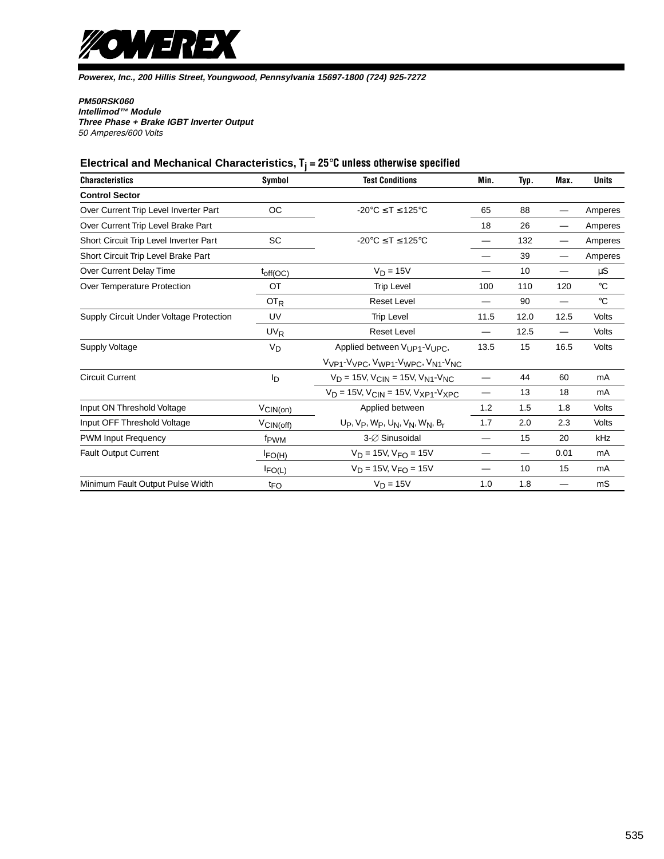

### **PM50RSK060**

**Intellimod™ Module Three Phase + Brake IGBT Inverter Output** 50 Amperes/600 Volts

# **Electrical and Mechanical Characteristics, Tj = 25**°**C unless otherwise specified**

| <b>Characteristics</b>                  | Symbol                | <b>Test Conditions</b>                                                                                     | Min. | Typ. | Max. | <b>Units</b> |
|-----------------------------------------|-----------------------|------------------------------------------------------------------------------------------------------------|------|------|------|--------------|
| <b>Control Sector</b>                   |                       |                                                                                                            |      |      |      |              |
| Over Current Trip Level Inverter Part   | <b>OC</b>             | $-20^{\circ}$ C $\leq$ T $\leq$ 125 $^{\circ}$ C                                                           | 65   | 88   |      | Amperes      |
| Over Current Trip Level Brake Part      |                       |                                                                                                            | 18   | 26   |      | Amperes      |
| Short Circuit Trip Level Inverter Part  | <b>SC</b>             | $-20^{\circ}$ C $\leq$ T $\leq$ 125 $^{\circ}$ C                                                           |      | 132  | —    | Amperes      |
| Short Circuit Trip Level Brake Part     |                       |                                                                                                            |      | 39   |      | Amperes      |
| Over Current Delay Time                 | $t_{off(OC)}$         | $V_D = 15V$                                                                                                |      | 10   | —    | μS           |
| Over Temperature Protection             | OT                    | <b>Trip Level</b>                                                                                          | 100  | 110  | 120  | $^{\circ}C$  |
|                                         | OT <sub>R</sub>       | <b>Reset Level</b>                                                                                         |      | 90   | —    | $^{\circ}C$  |
| Supply Circuit Under Voltage Protection | UV                    | <b>Trip Level</b>                                                                                          | 11.5 | 12.0 | 12.5 | Volts        |
|                                         | <b>UV<sub>R</sub></b> | <b>Reset Level</b>                                                                                         |      | 12.5 | —    | Volts        |
| <b>Supply Voltage</b>                   | V <sub>D</sub>        | Applied between V <sub>UP1</sub> -V <sub>UPC</sub> ,                                                       | 13.5 | 15   | 16.5 | Volts        |
|                                         |                       | V <sub>VP1</sub> -V <sub>VPC</sub> , V <sub>WP1</sub> -V <sub>WPC</sub> , V <sub>N1</sub> -V <sub>NC</sub> |      |      |      |              |
| <b>Circuit Current</b>                  | Iр                    | $V_D = 15V$ , $V_{CIN} = 15V$ , $V_{N1}$ - $V_{NC}$                                                        |      | 44   | 60   | mA           |
|                                         |                       | $V_D = 15V$ , $V_{CIN} = 15V$ , $V_{XP1}$ - $V_{XPC}$                                                      | —    | 13   | 18   | mA           |
| Input ON Threshold Voltage              | $V_{\text{CIN(on)}}$  | Applied between                                                                                            | 1.2  | 1.5  | 1.8  | Volts        |
| Input OFF Threshold Voltage             | $V_{\text{CIN(off)}}$ | $Up, V_P, W_P, U_N, V_N, W_N, B_r$                                                                         | 1.7  | 2.0  | 2.3  | Volts        |
| <b>PWM Input Frequency</b>              | f <sub>PWM</sub>      | 3-Ø Sinusoidal                                                                                             |      | 15   | 20   | kHz          |
| <b>Fault Output Current</b>             | $I_{FO(H)}$           | $V_D = 15V$ , $V_{FO} = 15V$                                                                               |      |      | 0.01 | mA           |
|                                         | $I_{FO(L)}$           | $V_D = 15V$ , $V_{FO} = 15V$                                                                               |      | 10   | 15   | mA           |
| Minimum Fault Output Pulse Width        | t <sub>FO</sub>       | $V_D = 15V$                                                                                                | 1.0  | 1.8  |      | mS           |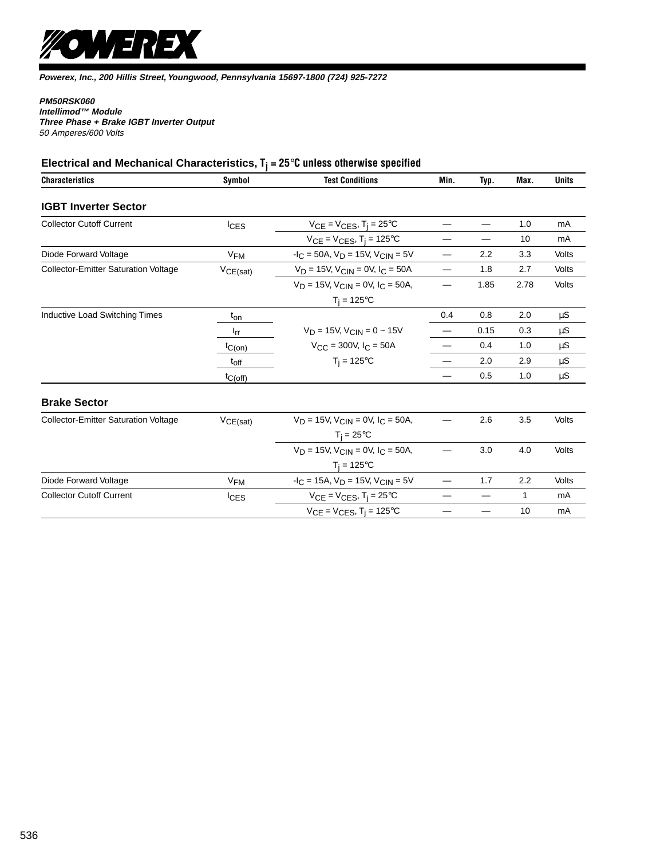

### **PM50RSK060**

**Intellimod™ Module Three Phase + Brake IGBT Inverter Output** 50 Amperes/600 Volts

# **Electrical and Mechanical Characteristics, Tj = 25**°**C unless otherwise specified**

| <b>Characteristics</b>                      | Symbol      | <b>Test Conditions</b>                             | Min. | Typ. | Max. | <b>Units</b> |
|---------------------------------------------|-------------|----------------------------------------------------|------|------|------|--------------|
| <b>IGBT Inverter Sector</b>                 |             |                                                    |      |      |      |              |
| <b>Collector Cutoff Current</b>             | <b>CES</b>  | $V_{CE} = V_{CES}$ , T <sub>i</sub> = 25°C         |      |      | 1.0  | mA           |
|                                             |             | $V_{CE} = V_{CES}$ , T <sub>j</sub> = 125°C        |      |      | 10   | mA           |
| Diode Forward Voltage                       | $V_{FM}$    | $-IC = 50A$ , $VD = 15V$ , $VCIN = 5V$             |      | 2.2  | 3.3  | Volts        |
| <b>Collector-Emitter Saturation Voltage</b> | VCE(sat)    | $V_D = 15V$ , $V_{CIN} = 0V$ , $I_C = 50A$         |      | 1.8  | 2.7  | Volts        |
|                                             |             | $V_D = 15V$ , $V_{CIN} = 0V$ , $I_C = 50A$ ,       |      | 1.85 | 2.78 | Volts        |
|                                             |             | $T_i = 125^{\circ}C$                               |      |      |      |              |
| Inductive Load Switching Times              | $t_{on}$    |                                                    | 0.4  | 0.8  | 2.0  | μS           |
|                                             | $t_{rr}$    | $V_D = 15V$ , $V_{CIN} = 0 \sim 15V$               |      | 0.15 | 0.3  | $\mu S$      |
|                                             | $t_{C(on)}$ | $V_{CC}$ = 300V, $I_C$ = 50A                       |      | 0.4  | 1.0  | μS           |
|                                             | $t_{off}$   | $T_i = 125$ °C                                     |      | 2.0  | 2.9  | μS           |
|                                             | tC(off)     |                                                    |      | 0.5  | 1.0  | $\mu S$      |
| <b>Brake Sector</b>                         |             |                                                    |      |      |      |              |
| <b>Collector-Emitter Saturation Voltage</b> | VCE(sat)    | $V_D = 15V$ , $V_{CIN} = 0V$ , $I_C = 50A$ ,       |      | 2.6  | 3.5  | Volts        |
|                                             |             | $T_i = 25^{\circ}C$                                |      |      |      |              |
|                                             |             | $V_D = 15V$ , $V_{CIN} = 0V$ , $I_C = 50A$ ,       |      | 3.0  | 4.0  | Volts        |
|                                             |             | $T_i = 125^{\circ}C$                               |      |      |      |              |
| Diode Forward Voltage                       | $V_{FM}$    | $-IC = 15A$ , $VD = 15V$ , $VC$ <sub>IN</sub> = 5V | —    | 1.7  | 2.2  | Volts        |
| <b>Collector Cutoff Current</b>             | $I_{CES}$   | $V_{CE} = V_{CES}$ , T <sub>i</sub> = 25°C         |      |      | 1    | mA           |
|                                             |             | $V_{CE} = V_{CES}$ , T <sub>i</sub> = 125°C        |      |      | 10   | mA           |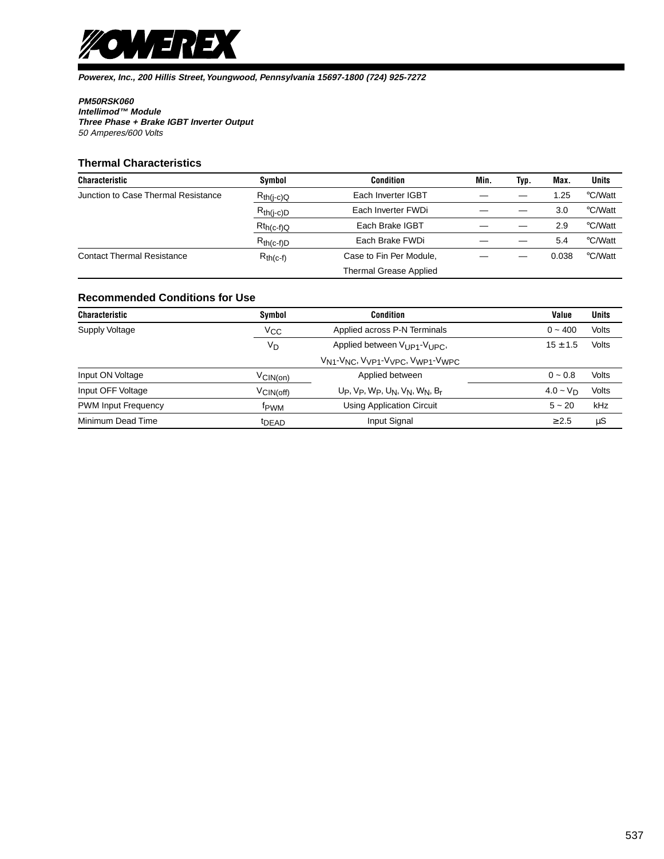

### **PM50RSK060**

**Intellimod™ Module Three Phase + Brake IGBT Inverter Output** 50 Amperes/600 Volts

### **Thermal Characteristics**

| <b>Characteristic</b>               | Symbol         | <b>Condition</b>              | Min. | Typ. | Max.  | <b>Units</b> |
|-------------------------------------|----------------|-------------------------------|------|------|-------|--------------|
| Junction to Case Thermal Resistance | $R_{th(j-c)Q}$ | Each Inverter IGBT            |      |      | 1.25  | °C/Watt      |
|                                     | $R_{th(j-c)D}$ | Each Inverter FWDi            |      |      | 3.0   | °C/Watt      |
|                                     | $Rt_{h(c-f)Q}$ | Each Brake IGBT               |      |      | 2.9   | °C/Watt      |
|                                     | $R_{th(c-f)D}$ | Each Brake FWDi               |      |      | 5.4   | °C/Watt      |
| <b>Contact Thermal Resistance</b>   | $R_{th(c-f)}$  | Case to Fin Per Module,       |      |      | 0.038 | °C/Watt      |
|                                     |                | <b>Thermal Grease Applied</b> |      |      |       |              |

### **Recommended Conditions for Use**

| <b>Characteristic</b>      | Symbol                | <b>Condition</b>                                                                                           | Value        | <b>Units</b> |
|----------------------------|-----------------------|------------------------------------------------------------------------------------------------------------|--------------|--------------|
| Supply Voltage             | Vcc                   | Applied across P-N Terminals                                                                               | $0 - 400$    | Volts        |
|                            | V <sub>D</sub>        | Applied between $V_{11P1}$ - $V_{11PC}$                                                                    | $15 \pm 1.5$ | Volts        |
|                            |                       | V <sub>N1</sub> -V <sub>NC</sub> , V <sub>VP1</sub> -V <sub>VPC</sub> , V <sub>WP1</sub> -V <sub>WPC</sub> |              |              |
| Input ON Voltage           | $V$ CIN(on)           | Applied between                                                                                            | $0 - 0.8$    | Volts        |
| Input OFF Voltage          | $V_{\text{CIN(off)}}$ | $Up, Vp, Wp, UN, VN, WN, Br$                                                                               | $4.0 - V_D$  | Volts        |
| <b>PWM Input Frequency</b> | fpwm                  | <b>Using Application Circuit</b>                                                                           | $5 - 20$     | kHz          |
| Minimum Dead Time          | t <sub>DEAD</sub>     | Input Signal                                                                                               | $\geq 2.5$   | μS           |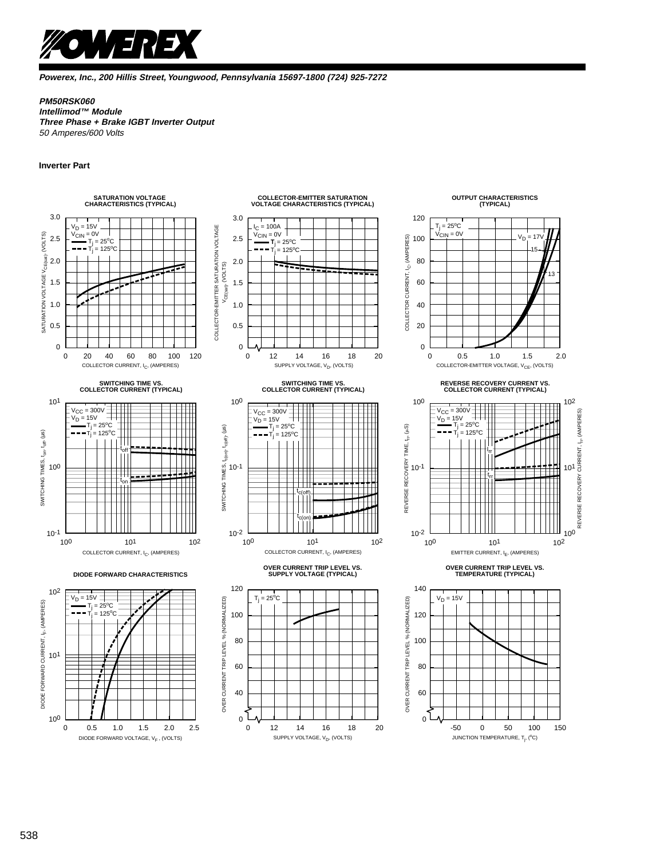

### **PM50RSK060**

**Intellimod™ Module Three Phase + Brake IGBT Inverter Output** 50 Amperes/600 Volts

### **Inverter Part**

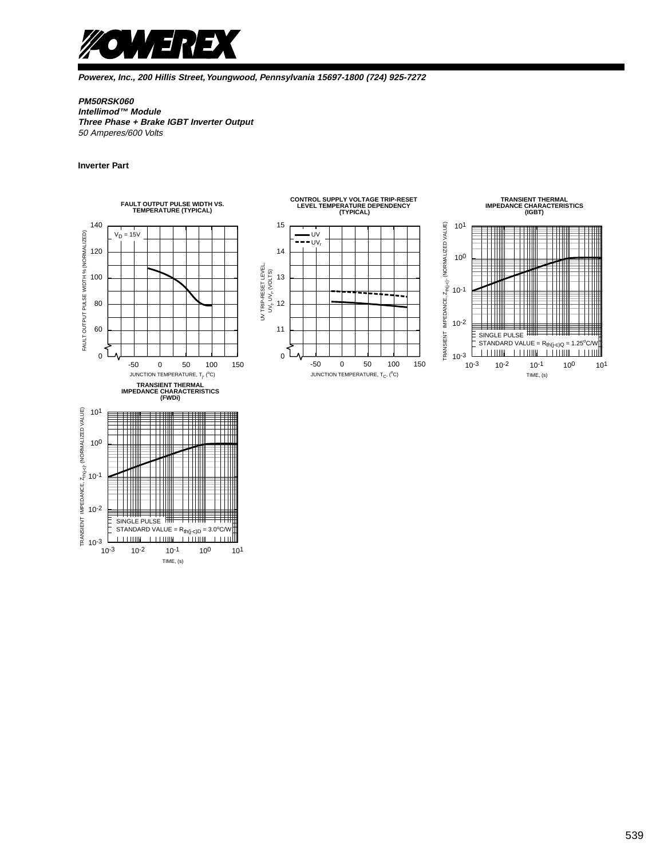

### **PM50RSK060**

**Intellimod™ Module Three Phase + Brake IGBT Inverter Output** 50 Amperes/600 Volts

#### **Inverter Part**



TIME, (s)

10-3

10-3 10-2

10-1 100 101